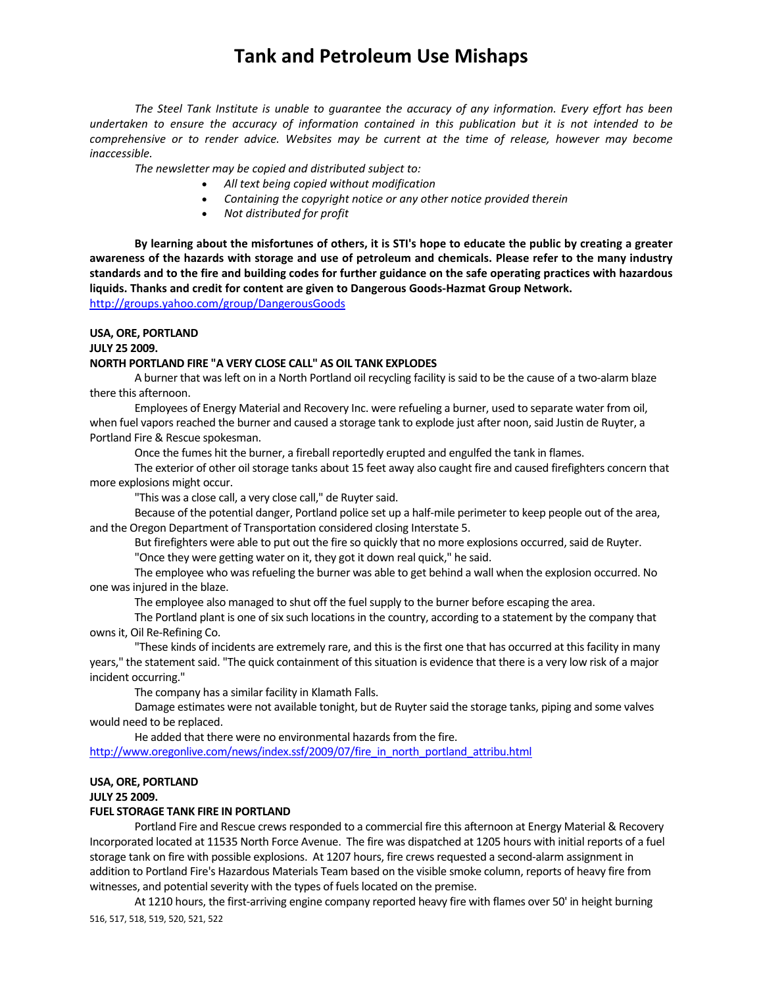*The Steel Tank Institute is unable to guarantee the accuracy of any information. Every effort has been* undertaken to ensure the accuracy of information contained in this publication but it is not intended to be *comprehensive or to render advice. Websites may be current at the time of release, however may become inaccessible.*

*The newsletter may be copied and distributed subject to:*

- *All text being copied without modification*
- *Containing the copyright notice or any other notice provided therein*
- *Not distributed for profit*

By learning about the misfortunes of others, it is STI's hope to educate the public by creating a greater awareness of the hazards with storage and use of petroleum and chemicals. Please refer to the many industry standards and to the fire and building codes for further guidance on the safe operating practices with hazardous **liquids. Thanks and credit for content are given to Dangerous Goods‐Hazmat Group Network.**  http://groups.yahoo.com/group/DangerousGoods

**USA, ORE, PORTLAND**

**JULY 25 2009.** 

### **NORTH PORTLAND FIRE "A VERY CLOSE CALL" AS OIL TANK EXPLODES**

A burner that wasleft on in a North Portland oil recycling facility issaid to be the cause of a two‐alarm blaze there this afternoon.

Employees of Energy Material and Recovery Inc. were refueling a burner, used to separate water from oil, when fuel vapors reached the burner and caused a storage tank to explode just after noon, said Justin de Ruyter, a Portland Fire & Rescue spokesman.

Once the fumes hit the burner, a fireball reportedly erupted and engulfed the tank in flames.

The exterior of other oil storage tanks about 15 feet away also caught fire and caused firefighters concern that more explosions might occur.

"This was a close call, a very close call," de Ruyter said.

Because of the potential danger, Portland police set up a half‐mile perimeter to keep people out of the area, and the Oregon Department of Transportation considered closing Interstate 5.

But firefighters were able to put out the fire so quickly that no more explosions occurred, said de Ruyter.

"Once they were getting water on it, they got it down real quick," he said.

The employee who was refueling the burner was able to get behind a wall when the explosion occurred. No one wasinjured in the blaze.

The employee also managed to shut off the fuel supply to the burner before escaping the area.

The Portland plant is one of six such locations in the country, according to a statement by the company that ownsit, Oil Re‐Refining Co.

"These kinds of incidents are extremely rare, and this is the first one that has occurred at this facility in many years," the statement said. "The quick containment of this situation is evidence that there is a very low risk of a major incident occurring."

The company has a similar facility in Klamath Falls.

Damage estimates were not available tonight, but de Ruyter said the storage tanks, piping and some valves would need to be replaced.

He added that there were no environmental hazards from the fire.

http://www.oregonlive.com/news/index.ssf/2009/07/fire\_in\_north\_portland\_attribu.html

### **USA, ORE, PORTLAND**

**JULY 25 2009.** 

### **FUEL STORAGE TANK FIRE IN PORTLAND**

Portland Fire and Rescue crews responded to a commercial fire this afternoon at Energy Material & Recovery Incorporated located at 11535 North Force Avenue. The fire was dispatched at 1205 hours with initial reports of a fuel storage tank on fire with possible explosions. At 1207 hours, fire crews requested a second-alarm assignment in addition to Portland Fire's Hazardous Materials Team based on the visible smoke column, reports of heavy fire from witnesses, and potential severity with the types of fuels located on the premise.

516, 517, 518, 519, 520, 521, 522 At 1210 hours, the first‐arriving engine company reported heavy fire with flames over 50' in height burning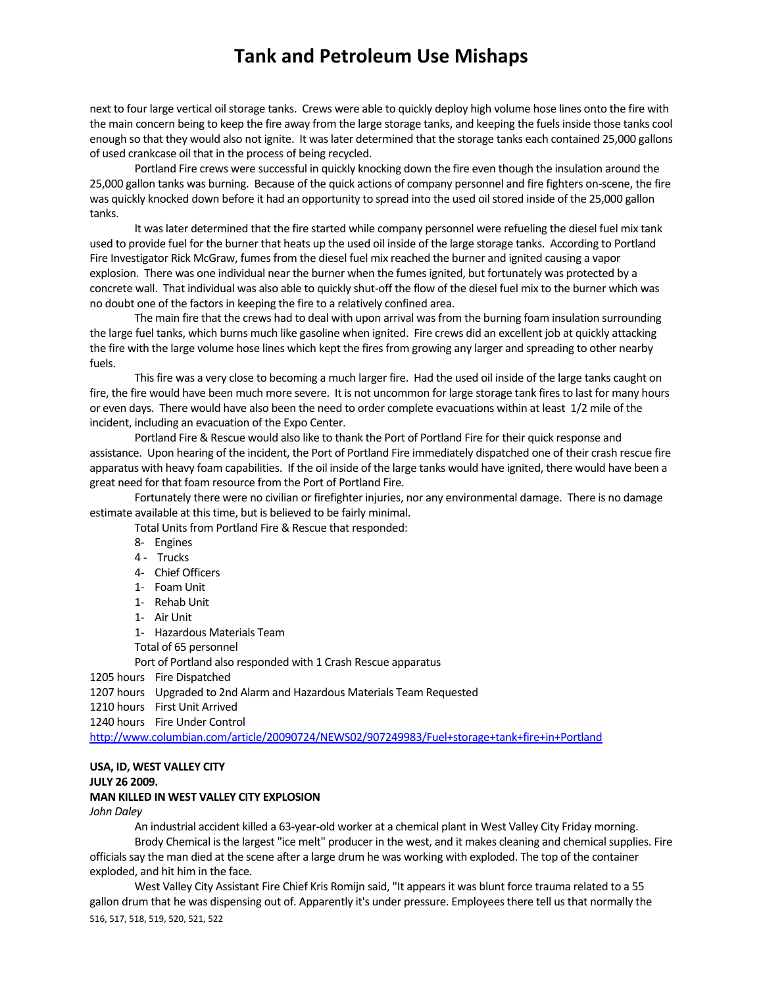next to four large vertical oil storage tanks. Crews were able to quickly deploy high volume hose lines onto the fire with the main concern being to keep the fire away from the large storage tanks, and keeping the fuels inside those tanks cool enough so that they would also not ignite. It waslater determined that the storage tanks each contained 25,000 gallons of used crankcase oil that in the process of being recycled.

Portland Fire crews were successful in quickly knocking down the fire even though the insulation around the 25,000 gallon tanks was burning. Because of the quick actions of company personnel and fire fighters on‐scene, the fire was quickly knocked down before it had an opportunity to spread into the used oil stored inside of the 25,000 gallon tanks.

It was later determined that the fire started while company personnel were refueling the diesel fuel mix tank used to provide fuel for the burner that heats up the used oil inside of the large storage tanks. According to Portland Fire Investigator Rick McGraw, fumes from the diesel fuel mix reached the burner and ignited causing a vapor explosion. There was one individual near the burner when the fumesignited, but fortunately was protected by a concrete wall. That individual was also able to quickly shut‐off the flow of the diesel fuel mix to the burner which was no doubt one of the factors in keeping the fire to a relatively confined area.

The main fire that the crews had to deal with upon arrival was from the burning foam insulation surrounding the large fuel tanks, which burns much like gasoline when ignited. Fire crews did an excellent job at quickly attacking the fire with the large volume hose lines which kept the fires from growing any larger and spreading to other nearby fuels.

This fire was a very close to becoming a much larger fire. Had the used oil inside of the large tanks caught on fire, the fire would have been much more severe. It is not uncommon for large storage tank fires to last for many hours or even days. There would have also been the need to order complete evacuations within at least 1/2 mile of the incident, including an evacuation of the Expo Center.

Portland Fire & Rescue would also like to thank the Port of Portland Fire for their quick response and assistance. Upon hearing of the incident, the Port of Portland Fire immediately dispatched one of their crash rescue fire apparatus with heavy foam capabilities. If the oil inside of the large tanks would have ignited, there would have been a great need for that foam resource from the Port of Portland Fire.

Fortunately there were no civilian or firefighter injuries, nor any environmental damage. There is no damage estimate available at this time, but is believed to be fairly minimal.

Total Units from Portland Fire & Rescue that responded:

- 8‐ Engines
- 4 Trucks
- 4‐ Chief Officers
- 1- Foam Unit
- 1‐ Rehab Unit
- 1‐ Air Unit
- 1‐ Hazardous Materials Team
- Total of 65 personnel

Port of Portland also responded with 1 Crash Rescue apparatus

1205 hours Fire Dispatched

1207 hours Upgraded to 2nd Alarm and Hazardous Materials Team Requested

1210 hours First Unit Arrived

1240 hours Fire Under Control

http://www.columbian.com/article/20090724/NEWS02/907249983/Fuel+storage+tank+fire+in+Portland

## **USA, ID, WEST VALLEY CITY**

### **JULY 26 2009. MAN KILLED IN WEST VALLEY CITY EXPLOSION**

## *John Daley*

An industrial accident killed a 63‐year‐old worker at a chemical plant in West Valley City Friday morning. Brody Chemical is the largest "ice melt" producer in the west, and it makes cleaning and chemical supplies. Fire officials say the man died at the scene after a large drum he was working with exploded. The top of the container exploded, and hit him in the face.

516, 517, 518, 519, 520, 521, 522 West Valley City Assistant Fire Chief Kris Romijn said, "It appears it was blunt force trauma related to a 55 gallon drum that he was dispensing out of. Apparently it's under pressure. Employeesthere tell usthat normally the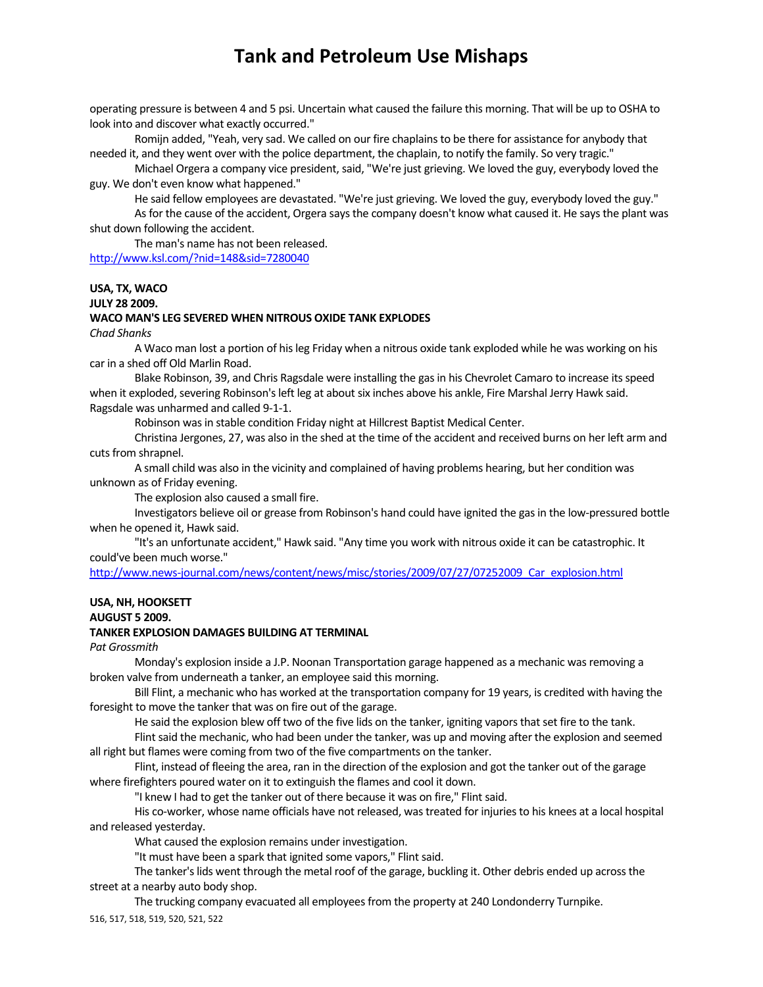operating pressure is between 4 and 5 psi. Uncertain what caused the failure this morning. That will be up to OSHA to look into and discover what exactly occurred."

Romijn added, "Yeah, very sad. We called on our fire chaplainsto be there for assistance for anybody that needed it, and they went over with the police department, the chaplain, to notify the family. So very tragic."

Michael Orgera a company vice president, said, "We're just grieving. We loved the guy, everybody loved the guy. We don't even know what happened."

He said fellow employees are devastated. "We're just grieving. We loved the guy, everybody loved the guy."

As for the cause of the accident, Orgera says the company doesn't know what caused it. He says the plant was shut down following the accident.

The man's name has not been released. http://www.ksl.com/?nid=148&sid=7280040

### **USA, TX, WACO**

**JULY 28 2009.** 

#### **WACO MAN'S LEG SEVERED WHEN NITROUS OXIDE TANK EXPLODES**

*Chad Shanks*

A Waco man lost a portion of hisleg Friday when a nitrous oxide tank exploded while he was working on his car in a shed off Old Marlin Road.

Blake Robinson, 39, and Chris Ragsdale were installing the gas in his Chevrolet Camaro to increase its speed when it exploded, severing Robinson's left leg at about six inches above his ankle, Fire Marshal Jerry Hawk said. Ragsdale was unharmed and called 9‐1‐1.

Robinson was in stable condition Friday night at Hillcrest Baptist Medical Center.

Christina Jergones, 27, was also in the shed at the time of the accident and received burns on her left arm and cuts from shrapnel.

A small child was also in the vicinity and complained of having problems hearing, but her condition was unknown as of Friday evening.

The explosion also caused a small fire.

Investigators believe oil or grease from Robinson's hand could have ignited the gas in the low-pressured bottle when he opened it, Hawk said.

"It's an unfortunate accident," Hawk said. "Any time you work with nitrous oxide it can be catastrophic. It could've been much worse."

http://www.news-journal.com/news/content/news/misc/stories/2009/07/27/07252009 Car explosion.html

## **USA, NH, HOOKSETT**

## **AUGUST 5 2009.**

## **TANKER EXPLOSION DAMAGES BUILDING AT TERMINAL**

*Pat Grossmith*

Monday's explosion inside a J.P. Noonan Transportation garage happened as a mechanic wasremoving a broken valve from underneath a tanker, an employee said this morning.

Bill Flint, a mechanic who has worked at the transportation company for 19 years, is credited with having the foresight to move the tanker that was on fire out of the garage.

He said the explosion blew off two of the five lids on the tanker, igniting vapors that set fire to the tank.

Flint said the mechanic, who had been under the tanker, was up and moving after the explosion and seemed all right but flames were coming from two of the five compartments on the tanker.

Flint, instead of fleeing the area, ran in the direction of the explosion and got the tanker out of the garage where firefighters poured water on it to extinguish the flames and cool it down.

"I knew I had to get the tanker out of there because it was on fire," Flint said.

His co-worker, whose name officials have not released, was treated for injuries to his knees at a local hospital and released yesterday.

What caused the explosion remains under investigation.

"It must have been a spark that ignited some vapors," Flint said.

The tanker's lids went through the metal roof of the garage, buckling it. Other debris ended up across the street at a nearby auto body shop.

516, 517, 518, 519, 520, 521, 522 The trucking company evacuated all employees from the property at 240 Londonderry Turnpike.